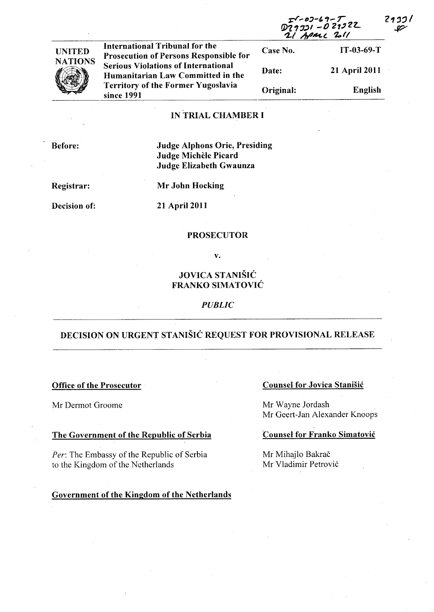| $T$ -02-69- $T$<br>D29331 -029322 | 2137/ |
|-----------------------------------|-------|
| 21 April 2011                     | sz    |
|                                   |       |



International Tribunal for the Case No. IT-03-69-T Prosecution of Persons Responsible for Serious Violations of International Humanitarian Law Committed in the Territory of the Former Yugoslavia since 1991

# Date: 21 April 2011 Original: English

# IN TRIAL CHAMBER I

Before:

# Judge Alphons Orie, Presiding Judge Michèle Picard Judge Elizabeth Gwaunza

Registrar:

Mr John Hocking

Decision of:

21 April 2011

#### PROSECUTOR

v.

# JOVICA STANIŠIĆ FRANKO SIMATOVIC

# *PUBLIC*

# DECISION ON URGENT STANIŠIĆ REQUEST FOR PROVISIONAL RELEASE

#### Office of the Prosecutor

Mr Dermot Groome

#### The Government of the Republic of Serbia

Per: The Embassy of the Republic of Serbia to the Kingdom of the Netherlands

## Government of the Kingdom of the Netherlands

# Counsel for Jovica Stanisic

Mr Wayne Jordash Mr Geert-Jan Alexander Knoops

# Counsel for Franko Simatovic

Mr Mihajlo Bakrač Mr Vladimir Petrovi6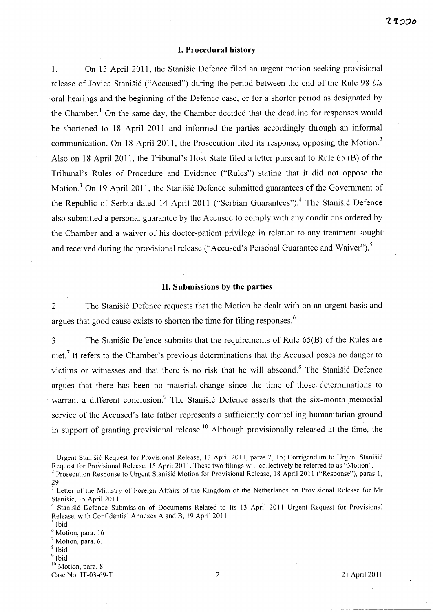#### I. Procedural history

1. On 13 April 2011, the Stanisic Defence filed an urgent motion seeking provisional release of Jovica Stanišić ("Accused") during the period between the end of the Rule 98 *bis* . oral hearings and the beginning of the Defence case, or for a shorter period as designated by the Chamber.<sup>1</sup> On the same day, the Chamber decided that the deadline for responses would be shortened to 18 April 2011 and informed the parties accordingly through an informal communication. On 18 April 2011, the Prosecution filed its response, opposing the Motion.<sup>2</sup> Also on 18 April 2011, the Tribunal's Host State filed a letter pursuant to Rule 65 (B) of the Tribunal's Rules of Procedure and Evidence ("Rules") stating that it did not oppose the Motion.<sup>3</sup> On 19 April 2011, the Stanisic Defence submitted guarantees of the Government of the Republic of Serbia dated 14 April 2011 ("Serbian Guarantees").<sup>4</sup> The Stanišić Defence also submitted a personal guarantee by the Accused to comply with any conditions ordered by the Chamber and a waiver of his doctor-patient privilege in relation to any treatment sought and received during the provisional release ("Accused's Personal Guarantee and Waiver").<sup>5</sup>

#### II. Submissions by the parties

2. The Stanisic Defence requests that the Motion be dealt with on an urgent basis and argues that good cause exists to shorten the time for filing responses.<sup>6</sup>

3. The Stanisic Defence submits that the requirements of Rule 65(B) of the Rules are met.<sup>7</sup> It refers to the Chamber's previous determinations that the Accused poses no danger to victims or witnesses and that there is no risk that he will abscond.<sup>8</sup> The Stanišić Defence argues that there has been no material. change since the time of those determinations to warrant a different conclusion.<sup>9</sup> The Stanišić Defence asserts that the six-month memorial service of the Accused's late father represents a sufficiently compelling humanitarian ground in support of granting provisional release.<sup>10</sup> Although provisionally released at the time, the

 $<sup>9</sup>$  Ibid.</sup>

<sup>10</sup> Motion, para. 8.

<sup>&</sup>lt;sup>1</sup> Urgent Stanišić Request for Provisional Release, 13 April 2011, paras 2, 15; Corrigendum to Urgent Stanišić Request for Provisional Release, 15 April 2011. These two filings will collectively be referred to as "Motion". 2 Prosecution Response to Urgent Stanisic Motion for Provisional Release, 18 April 2011 ("Response"), paras I,

<sup>29.</sup> 

<sup>&</sup>lt;sup>3</sup> Letter of the Ministry of Foreign Affairs of the Kingdom of the Netherlands on Provisional Release for Mr Stanisic, 15 April 2011.

Stanišić Defence Submission of Documents Related to Its 13 April 2011 Urgent Request for Provisional Release, with Confidential Annexes A and B, 19 April 2011.

 $<sup>5</sup>$  Ibid.</sup> <sup>6</sup> Motion, para. 16

 $<sup>7</sup>$  Motion, para. 6.</sup>

<sup>8</sup> Ibid.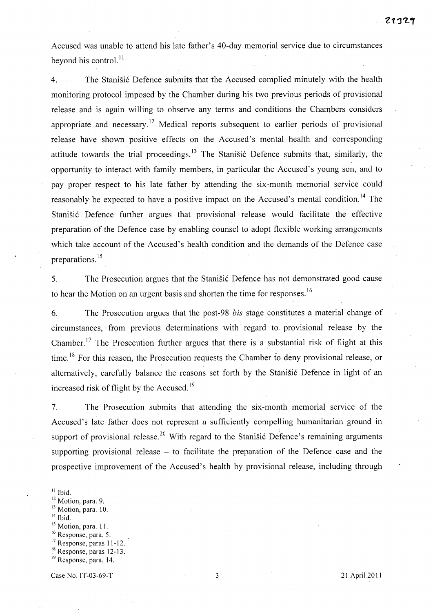Accused was unable to attend his late father's 40-day memorial service due to circumstances beyond his control.<sup>11</sup>

4. The Stanisic Defence submits that the Accused complied minutely with the health monitoring protocol imposed by the Chamber during his two previous periods of provisional release and is again willing to observe any terms and conditions the Chambers considers appropriate and necessary.<sup>12</sup> Medical reports subsequent to earlier periods of provisional release have shown positive effects on the Accused's mental health and corresponding attitude towards the trial proceedings.<sup>13</sup> The Stanisic Defence submits that, similarly, the opportunity to interact with family members, in particular the Accused's young son, and to pay proper respect to his late father by attending the six-month memorial service could reasonably be expected to have a positive impact on the Accused's mental condition.<sup>14</sup> The Stanišić Defence further argues that provisional release would facilitate the effective preparation of the Defence case by enabling counsel to adopt flexible working arrangements which take account of the Accused's health condition and the demands of the Defence case preparations.<sup>15</sup>

5. The Prosecution argues that the Stanisic Defence has not demonstrated good cause to hear the Motion on an urgent basis and shorten the time for responses.<sup>16</sup>

6. The Prosecution argues that the post-98 *his* stage constitutes a material change of circumstances, from previous determinations with regard to provisional release by the Chamber.<sup>17</sup> The Prosecution further argues that there is a substantial risk of flight at this time.<sup>18</sup> For this reason, the Prosecution requests the Chamber to deny provisional release, or alternatively, carefully balance the reasons set forth by the Stanišić Defence in light of an increased risk of flight by the Accused.<sup>19</sup>

7. The Prosecution submits that attending the six-month memorial service of the Accused's late father does not represent a sufficiently compelling humanitarian ground in support of provisional release.<sup>20</sup> With regard to the Stanistic Defence's remaining arguments supporting provisional release  $-$  to facilitate the preparation of the Defence case and the prospective improvement of the Accused's health by provisional release, including through

 $<sup>11</sup>$  Ibid.</sup> <sup>12</sup> Motion, para. 9. <sup>13</sup> Motion, para. 10.  $14$  Ibid. <sup>15</sup> Motion, para. 11. <sup>16</sup> Response, para. 5.  $17$  Response, paras 11-12. <sup>18</sup> Response, paras 12-13.

Case No. IT-03-69-T 3 21 April 2011

<sup>&</sup>lt;sup>19</sup> Response, para. 14.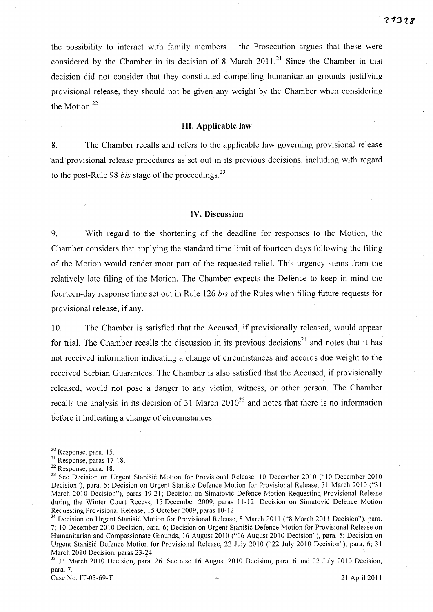the possibility to interact with family members  $-$  the Prosecution argues that these were considered by the Chamber in its decision of 8 March 2011.<sup>21</sup> Since the Chamber in that decision did not consider that they constituted compelling humanitarian grounds justifying provisional release, they should not be given any weight by the Chamber when considering the Motion.<sup>22</sup>

### **Ill. Applicable law**

8. The Chamber recalls and refers to the applicable law governing provisional release and provisional release procedures as set out in its previous decisions, including with regard to the post-Rule 98 *bis* stage of the proceedings.<sup>23</sup>

#### **IV. Discussion**

9. With regard to the shortening of the deadline for responses to the Motion, the Chamber considers that applying the standard time limit of fourteen days following the filing of the Motion would render moot part of the requested relief. This urgency stems from the relatively late filing of the Motion. The Chamber expects the Defence to keep in mind the fourteen-day response time set out in Rule 126 *bis* of the Rules when filing future requests for provisional release, if any.

10. The Chamber is satisfied that the Accused, if provisionally released, would appear for trial. The Chamber recalls the discussion in its previous decisions<sup>24</sup> and notes that it has not received information indicating a change of circumstances and accords due weight to the received Serbian Guarantees. The Chamber is also satisfied that the Accused, if provisionally released, would not pose a danger to any victim, witness, or other person. The Chamber recalls the analysis in its decision of 31 March  $2010^{25}$  and notes that there is no information before it indicating a change of circumstances.

20 Response, para. 15.

21 Response, paras 17-18.

22 Response, para. 18.

<sup>23</sup> See Decision on Urgent Stanišić Motion for Provisional Release, 10 December 2010 ("10 December 2010 Decision"), para. 5; Decision on Urgent Stanišić Defence Motion for Provisional Release, 31 March 2010 ("31 March 2010 Decision"), paras 19-21; Decision on Simatović Defence Motion Requesting Provisional Release during the Winter Court Recess, 15 December 2009, paras 11-12; Decision on Simatović Defence Motion Requesting Provisional Release, 15 October 2009, paras 10-12.

<sup>24</sup> Decision on Urgent Stanišić Motion for Provisional Release, 8 March 2011 ("8 March 2011 Decision"), para. 7; 10 December 2010 Decision, para. 6; Decision on Urgent Stanišić Defence Motion for Provisional Release on Humanitarian and Compassionate Grounds, 16 August 2010 (" 16 August 2010 Decision"), para. 5; Decision on Urgent Stanišić Defence Motion for Provisional Release, 22 July 2010 ("22 July 2010 Decision"), para. 6; 31 March 2010 Decision, paras 23-24. \

<sup>25</sup> 31 March 2010 Decision, para. 26. See also 16 August 2010 Decision, para. 6 and 22 July 2010 Decision, para. 7.

Case No. IT-03-69-T 4 21 April2011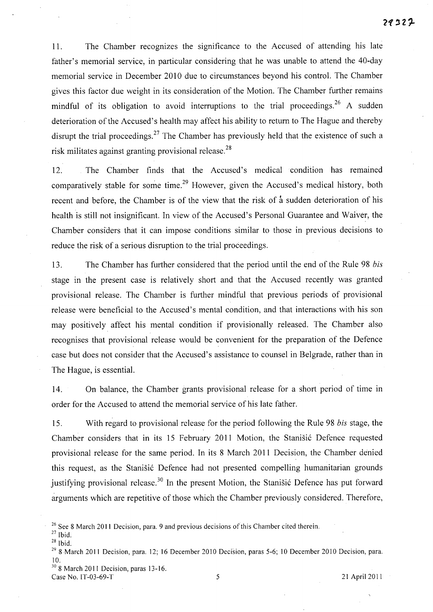11. The Chamber recogmzes the significance to the Accused of attending his late father's memorial service, in particular considering that he was unable to attend the 40-day memorial service in December 2010 due to circumstances beyond his control. The Chamber gives this factor due weight in its consideration of the Motion. The Chamber further remains mindful of its obligation to avoid interruptions to the trial proceedings.<sup>26</sup> A sudden deterioration of the Accused's health may affect his ability to return to The Hague and thereby disrupt the trial proceedings.<sup>27</sup> The Chamber has previously held that the existence of such a risk militates against granting provisional release.<sup>28</sup>

12. The Chamber finds that the Accused's medical condition has remained comparatively stable for some time.<sup>29</sup> However, given the Accused's medical history, both recent and before, the Chamber is of the view that the risk of  $\dot{a}$  sudden deterioration of his health is still not insignificant. In view of the Accused's Personal Guarantee and Waiver, the Chamber considers that it can impose conditions similar to those in previous decisions to reduce the risk of a serious disruption to the trial proceedings.

13. The Chamber has further considered that the period until the end of the Rule 98 *bis*  stage in the present case is relatively short and that the Accused recently was granted provisional release. The Chamber is further mindful that previous periods of provisional release were beneficial to the Accused's mental condition, and that interactions with his son may positively affect his mental condition if provisionally released. The Chamber also recognises that provisional release would be convenient for the preparation of the Defence case but does not consider that the Accused's assistance to counsel in Belgrade, rather than in The Hague, is essential.

14. On balance, the Chamber grants provisional release for a short period of time in order for the Accused to attend the memorial service of his late father.

15. With regard to provisional release for the period following the Rule 98 *bis* stage, the Chamber considers that in its 15 February 2011 Motion, the Stanisic Defence requested provisional release for the same period. In its 8 March 2011 Decision, the Chamber denied this request, as the Stanisic Defence had not presented compelling humanitarian grounds justifying provisional release.<sup>30</sup> In the present Motion, the Stanisic Defence has put forward arguments which are repetitive of those which the Chamber previously considered. Therefore,

 $30$  8 March 2011 Decision, paras 13-16. Case No. IT-03-69-T 5 21 April 2011

<sup>&</sup>lt;sup>26</sup> See 8 March 2011 Decision, para. 9 and previous decisions of this Chamber cited therein.

 $27$  Ibid.

<sup>28</sup> Ibid.

 $29$  8 March 2011 Decision, para. 12; 16 December 2010 Decision, paras 5-6; 10 December 2010 Decision, para. 10.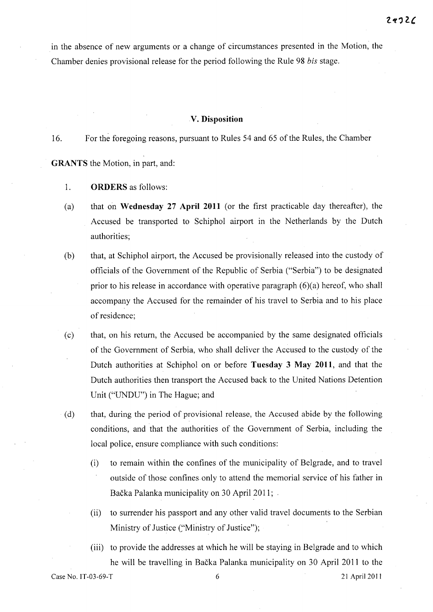in the absence of new arguments or a change of circumstances presented in the Motion, the Chamber denies provisional release for the period following the Rule 98 *his* stage.

#### **V. Disposition**

16. For the foregoing reasons, pursuant to Rules 54 and 65 of the Rules, the Chamber

**GRANTS** the Motion, in part, and:

- 1. **ORDERS** as follows:
- (a) that on **Wednesday 27 April 2011** (or the first practicable day thereafter), the Accused be transported to Schiphol airport in the Netherlands by the Dutch authorities;
- (b) that, at Schiphol airport, the Accused be provisionally released into the custody of officials of the Government of the Republic of Serbia ("Serbia") to be designated prior to his release in accordance with operative paragraph  $(6)(a)$  hereof, who shall accompany the Accused for the remainder of his travel to Serbia and to his place of residence;
- (c) that, on his return, the Accused be accompanied by the same designated officials of the Government of Serbia, who shall deliver the Accused to the custody of the Dutch authorities at Schiphol on or before **Tuesday 3 May 2011,** and that the Dutch authorities then transport the Accused back to the United Nations Detention Unit ("UNDU") in The Hague; and
- (d) that, during the period of provisional release, the Accused abide by the following conditions, and that the authorities of the Government of Serbia, including the local police, ensure compliance with such conditions:
	- (i) to remain within the confines of the municipality of Belgrade, and to travel outside of those confines only to attend the memorial service of his father in Bačka Palanka municipality on 30 April 2011;
	- (ii) to surrender his passport and any other valid travel documents to the Serbian Ministry of Justice ("Ministry of Justice");
- (iii) to provide the addresses at which he will be staying in Belgrade and to which he will be travelling in Backa Palanka municipality on 30 April 2011 to the Case No. IT-03-69-T 6 21 April 2011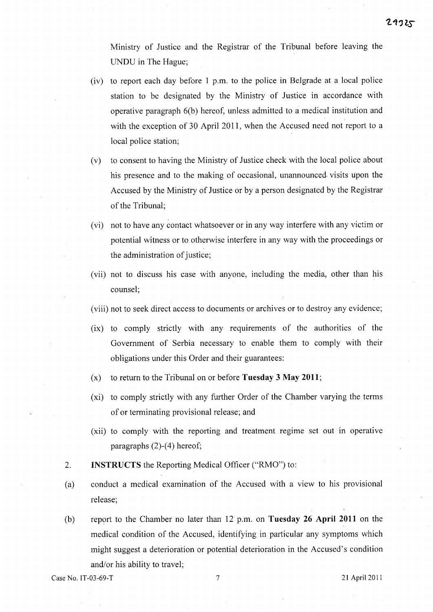Ministry of Justice and the Registrar of the Tribunal before leaving the UNDU in The Hague;

- (iv) to report each day before 1 p.m. to the police in Belgrade at a local police station to be designated by the Ministry of Justice in accordance with operative paragraph 6(b) hereof, unless admitted to a medical institution and with the exception of 30 April **2011,** when the Accused need not report to a local police station;
- (v) to consent to having the Ministry of Justice check with the local police about his presence and to the making of occasional, unannounced visits upon the Accused by the Ministry of Justice or by a person designated by the Registrar of the Tribunal;
- (vi) not to have any contact whatsoever or in "any way interfere with any victim or potential witness or to otherwise interfere in any way with the proceedings or the administration of justice;
- (vii) not to discuss his case with anyone, including the media, other than his counsel;
- (viii) not to seek direct access to documents or archives or to destroy any evidence;
- (ix) to comply strictly with any requirements of the authorities of the Government of Serbia necessary to enable them to comply with their obligations under this Order and their guarantees:
- (x) to return to the Tribunal on or before **Tuesday 3 May 2011;**
- (xi) to comply strictly with any further Order of the Chamber varying the terms of or terminating provisional release; and
- (xii) to comply with the reporting and treatment regime set out in operative paragraphs (2)-(4) hereof;
- 2. **INSTRUCTS** the Reporting Medical Officer ("RMO") to:
- (a) conduct a medical examination of the Accused with a view to his provisional release;
- (b) report to the Chamber no later than 12 p.m. on **Tuesday 26 April 2011** on the medical condition of the Accused, identifying in particular any symptoms which might suggest a deterioration or potential deterioration in the Accused's condition and/or his ability to travel;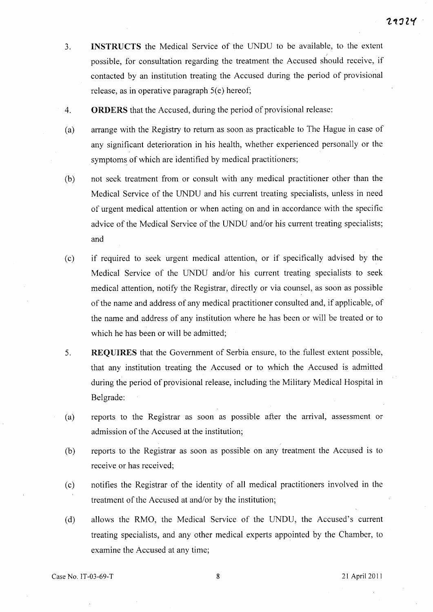- 3. **INSTRUCTS** the Medical Service of the UNDU to be available, to the extent ) possible, for consultation regarding the treatment the Accused should receive, if contacted by an institution treating the Accused during the period of provisional release, as in operative paragraph  $5(e)$  hereof;
- 4. **ORDERS** that the Accused, during the period of provisional release:
- (a) arrange with the Registry to return as soon as practicable to The Hague in case of any significant deterioration in his health, whether experienced personally or the symptoms of which are identified by medical practitioners;
- (b) not seek treatment from or consult with any medical practitioner other than the Medical Service of the UNDU and his current treating specialists, unless in need of urgent medical attention or when acting on and in accordance with the specific advice of the Medical Service of the UNDU and/or his current treating specialists; and
- (c) if required to seek urgent medical attention, or if specifically advised by the Medical Service of the UNDU and/or his current treating specialists to seek medical attention, notify the Registrar, directly or via counsel, as soon as possible of the name and address of any medical practitioner consulted and, if applicable, of the name and address of any institution where he has been or will be treated or to which he has been or will be admitted;
- 5. **REQUIRES** that the Government of Serbia ensure, to the fullest extent possible, that any institution treating the Accused or to which the Accused is admitted during the period of provisional release, including the Military Medical Hospital in Belgrade:
- (a) reports to the Registrar as soon as possible after the arrival, assessment or admission of the Accused at the institution;
- (b) reports to the Registrar as soon as possible on any treatment the Accused is to receive or has received;
- (c) notifies the Registrar of the identity of all medical practitioners involved in the treatment of the Accused at and/or by the institution;
- (d) allows the RMO, the Medical Service of the UNDU, the Accused's current treating specialists, and any other medical experts appointed by the Chamber, to examine the Accused at any time;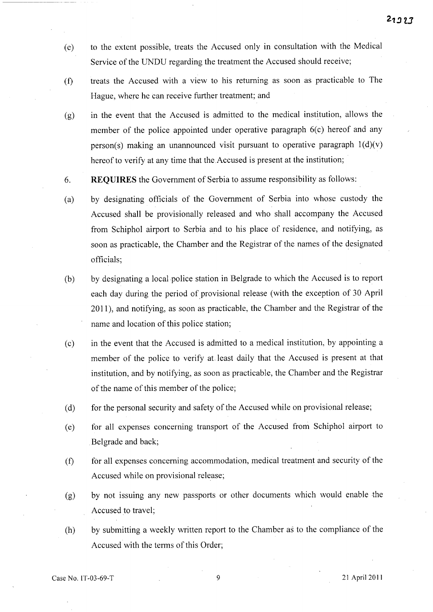- (e) to the extent possible, treats the Accused only in consultation with the Medical Service of the UNDU regarding the treatment the Accused should receive;
- (f) treats the Accused with a view to his returning as soon as practicable to The Hague, where he can receive further treatment; and
- (g) in the event that the Accused is admitted to the medical institution, allows the member of the police appointed under operative paragraph  $6(c)$  hereof and any person(s) making an unannounced visit pursuant to operative paragraph  $1(d)(v)$ hereof to verify at any time that the.Accused is present at the institution;
- 6. REQUIRES the Government of Serbia to assume responsibility as follows:
- (a) by designating officials of the Government of Serbia into whose custody the Accused shall be provisionally released and who shall accompany the Accused from Schiphol airport to Serbia and to his place of residence, and notifying, as soon as practicable, the Chamber and the Registrar of the names of the designated officials;
- (b) by designating a local police station in Belgrade to which the Accused is to report each day during the period of provisional release (with the exception of 30 April 2011), and notifying, as soon as practicable, the Chamber and the Registrar of the name and location of this police station;
- (c) in the event that the Accused is admitted to a medical institution, by appointing a member of the police to verify at least daily that the Accused is present at that institution, and by notifying, as soon as practicable, the Chamber and the Registrar of the name of this member of the police;
- (d) for the personal security and safety of the Accused while on provisional release;
- (e) for all expenses concerning transport of the Accused from Schiphol airport to Belgrade and back;
- (f) for all expenses concerning accommodation, medical treatment and security of the Accused while on provisional release;
- (g) by not issuing any new passports or other documents which would enable the Accused to travel;
- (h) by submitting a weekly written report to the Chamber as to the compliance of the Accused with the terms of this Order;